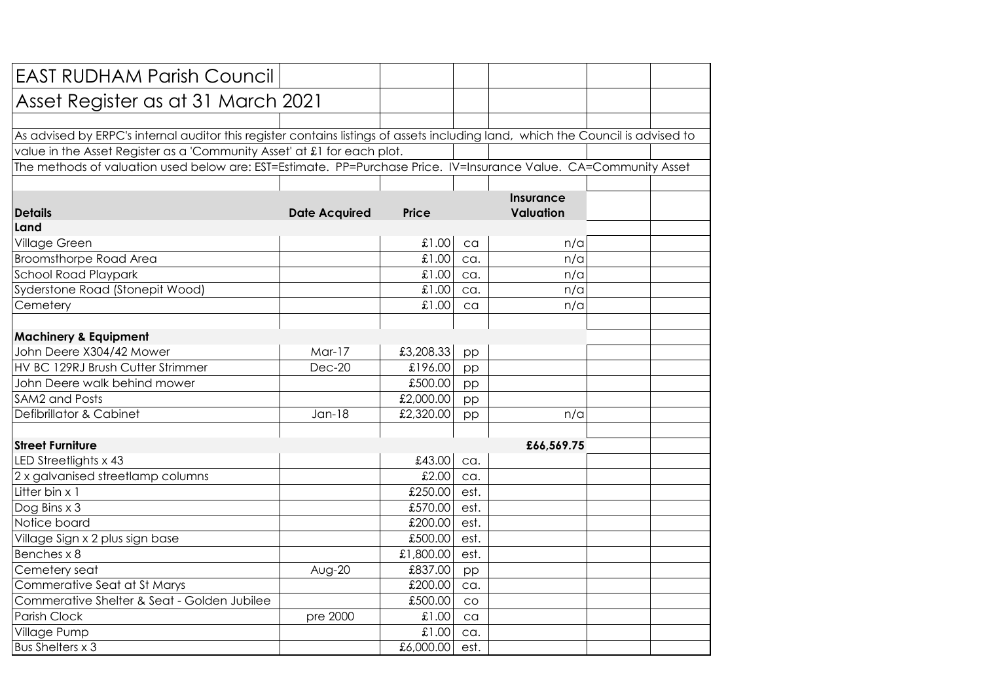| <b>EAST RUDHAM Parish Council</b>                                                                                               |                      |              |      |            |  |  |
|---------------------------------------------------------------------------------------------------------------------------------|----------------------|--------------|------|------------|--|--|
| Asset Register as at 31 March 2021                                                                                              |                      |              |      |            |  |  |
|                                                                                                                                 |                      |              |      |            |  |  |
| As advised by ERPC's internal auditor this register contains listings of assets including land, which the Council is advised to |                      |              |      |            |  |  |
| value in the Asset Register as a 'Community Asset' at £1 for each plot.                                                         |                      |              |      |            |  |  |
| The methods of valuation used below are: EST=Estimate. PP=Purchase Price. IV=Insurance Value. CA=Community Asset                |                      |              |      |            |  |  |
|                                                                                                                                 |                      |              |      |            |  |  |
|                                                                                                                                 | Insurance            |              |      |            |  |  |
| <b>Details</b>                                                                                                                  | <b>Date Acquired</b> | <b>Price</b> |      | Valuation  |  |  |
| Land                                                                                                                            |                      |              |      |            |  |  |
| Village Green                                                                                                                   |                      | 00.13        | ca   | n/a        |  |  |
| <b>Broomsthorpe Road Area</b>                                                                                                   |                      | £1.00        | ca.  | n/a        |  |  |
| School Road Playpark                                                                                                            |                      | £1.00        | ca.  | n/a        |  |  |
| Syderstone Road (Stonepit Wood)                                                                                                 |                      | £1.00        | ca.  | n/a        |  |  |
| Cemetery                                                                                                                        |                      | £1.00        | ca   | n/a        |  |  |
|                                                                                                                                 |                      |              |      |            |  |  |
| <b>Machinery &amp; Equipment</b>                                                                                                |                      |              |      |            |  |  |
| John Deere X304/42 Mower                                                                                                        | Mar-17               | £3,208.33    | pp   |            |  |  |
| HV BC 129RJ Brush Cutter Strimmer                                                                                               | $Dec-20$             | £196.00      | pp   |            |  |  |
| John Deere walk behind mower                                                                                                    |                      | £500.00      | pp   |            |  |  |
| <b>SAM2 and Posts</b>                                                                                                           |                      | £2,000.00    | pp   |            |  |  |
| Defibrillator & Cabinet                                                                                                         | $Jan-18$             | £2,320.00    | pp   | n/a        |  |  |
|                                                                                                                                 |                      |              |      |            |  |  |
| <b>Street Furniture</b>                                                                                                         |                      |              |      | £66,569.75 |  |  |
| LED Streetlights x 43                                                                                                           |                      | £43.00       | ca.  |            |  |  |
| 2 x galvanised streetlamp columns                                                                                               |                      | £2.00        | ca.  |            |  |  |
| Litter bin x 1                                                                                                                  |                      | £250.00      | est. |            |  |  |
| Dog Bins x 3                                                                                                                    |                      | £570.00      | est. |            |  |  |
| Notice board                                                                                                                    |                      | £200.00      | est. |            |  |  |
| Village Sign x 2 plus sign base                                                                                                 |                      | £500.00      | est. |            |  |  |
| Benches x 8                                                                                                                     |                      | £1,800.00    | est. |            |  |  |
| Cemetery seat                                                                                                                   | Aug-20               | £837.00      | pp   |            |  |  |
| Commerative Seat at St Marys                                                                                                    |                      | £200.00      | ca.  |            |  |  |
| Commerative Shelter & Seat - Golden Jubilee                                                                                     |                      | £500.00      | CO   |            |  |  |
| Parish Clock                                                                                                                    | pre 2000             | £1.00        | ca   |            |  |  |
| Village Pump                                                                                                                    |                      | £1.00        | ca.  |            |  |  |
| Bus Shelters x 3                                                                                                                |                      | £6,000.00    | est. |            |  |  |